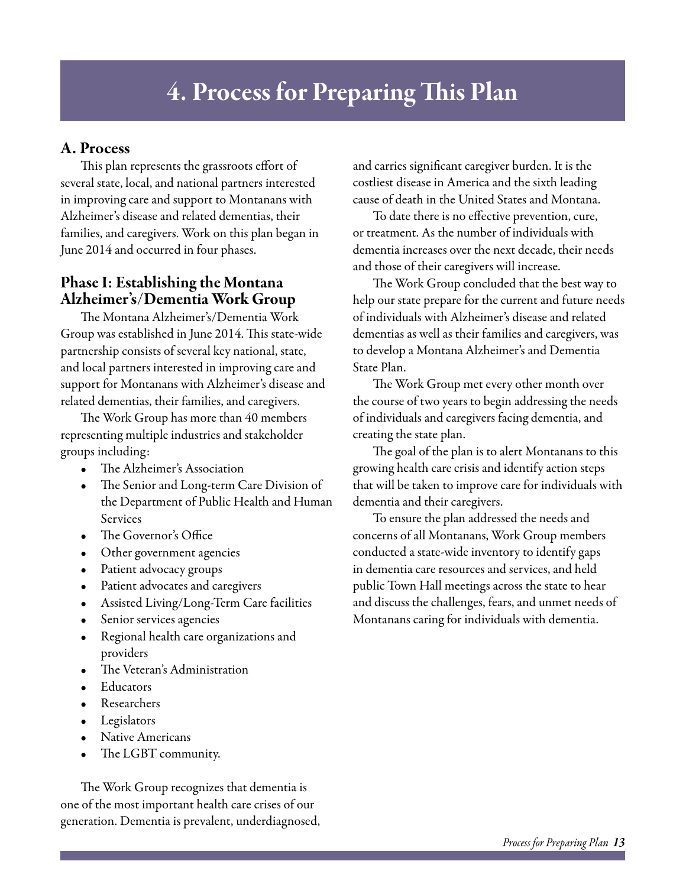# 4. Process for Preparing This Plan

## A. Process

This plan represents the grassroots effort of several state, local, and national partners interested in improving care and support to Montanans with Alzheimer's disease and related dementias, their families, and caregivers. Work on this plan began in June 2014 and occurred in four phases.

## Phase I: Establishing the Montana Alzheimer's/Dementia Work Group

The Montana Alzheimer's/Dementia Work Group was established in June 2014. This state-wide partnership consists of several key national, state, and local partners interested in improving care and support for Montanans with Alzheimer's disease and related dementias, their families, and caregivers.

The Work Group has more than 40 members representing multiple industries and stakeholder groups including:

- The Alzheimer's Association
- The Senior and Long-term Care Division of the Department of Public Health and Human Services
- The Governor's Office
- Other government agencies
- Patient advocacy groups
- Patient advocates and caregivers
- Assisted Living/Long-Term Care facilities
- Senior services agencies
- Regional health care organizations and providers
- The Veteran's Administration
- **Educators**
- **Researchers**
- Legislators
- Native Americans
- The LGBT community.

The Work Group recognizes that dementia is one of the most important health care crises of our generation. Dementia is prevalent, underdiagnosed, and carries significant caregiver burden. It is the costliest disease in America and the sixth leading cause of death in the United States and Montana.

To date there is no effective prevention, cure, or treatment. As the number of individuals with dementia increases over the next decade, their needs and those of their caregivers will increase.

The Work Group concluded that the best way to help our state prepare for the current and future needs of individuals with Alzheimer's disease and related dementias as well as their families and caregivers, was to develop a Montana Alzheimer's and Dementia State Plan.

The Work Group met every other month over the course of two years to begin addressing the needs of individuals and caregivers facing dementia, and creating the state plan.

The goal of the plan is to alert Montanans to this growing health care crisis and identify action steps that will be taken to improve care for individuals with dementia and their caregivers.

To ensure the plan addressed the needs and concerns of all Montanans, Work Group members conducted a state-wide inventory to identify gaps in dementia care resources and services, and held public Town Hall meetings across the state to hear and discuss the challenges, fears, and unmet needs of Montanans caring for individuals with dementia.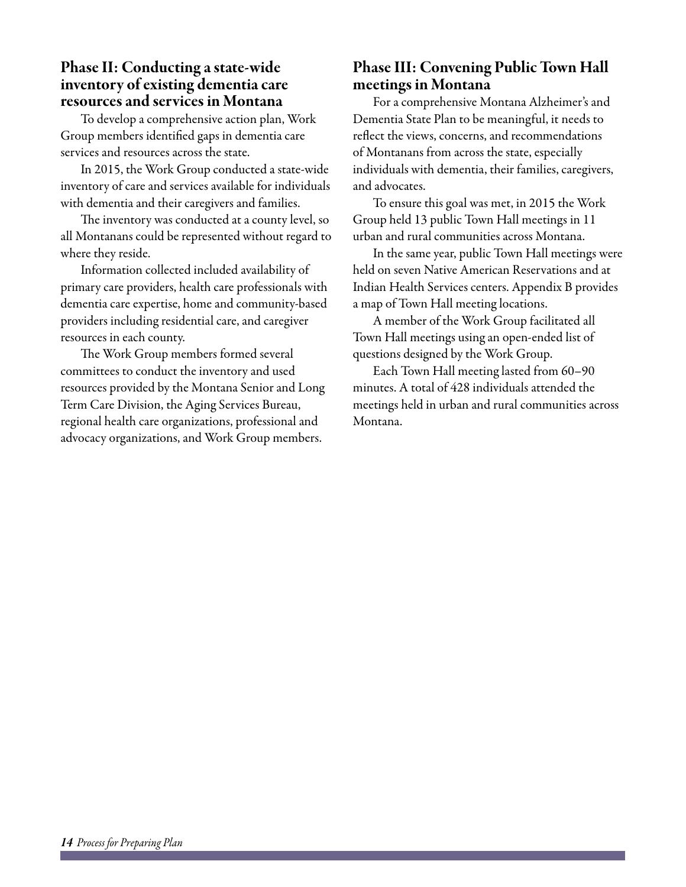## Phase II: Conducting a state-wide inventory of existing dementia care resources and services in Montana

To develop a comprehensive action plan, Work Group members identified gaps in dementia care services and resources across the state.

In 2015, the Work Group conducted a state-wide inventory of care and services available for individuals with dementia and their caregivers and families.

The inventory was conducted at a county level, so all Montanans could be represented without regard to where they reside.

Information collected included availability of primary care providers, health care professionals with dementia care expertise, home and community-based providers including residential care, and caregiver resources in each county.

The Work Group members formed several committees to conduct the inventory and used resources provided by the Montana Senior and Long Term Care Division, the Aging Services Bureau, regional health care organizations, professional and advocacy organizations, and Work Group members.

# Phase III: Convening Public Town Hall meetings in Montana

For a comprehensive Montana Alzheimer's and Dementia State Plan to be meaningful, it needs to reflect the views, concerns, and recommendations of Montanans from across the state, especially individuals with dementia, their families, caregivers, and advocates.

To ensure this goal was met, in 2015 the Work Group held 13 public Town Hall meetings in 11 urban and rural communities across Montana.

In the same year, public Town Hall meetings were held on seven Native American Reservations and at Indian Health Services centers. Appendix B provides a map of Town Hall meeting locations.

A member of the Work Group facilitated all Town Hall meetings using an open-ended list of questions designed by the Work Group.

Each Town Hall meeting lasted from 60–90 minutes. A total of 428 individuals attended the meetings held in urban and rural communities across Montana.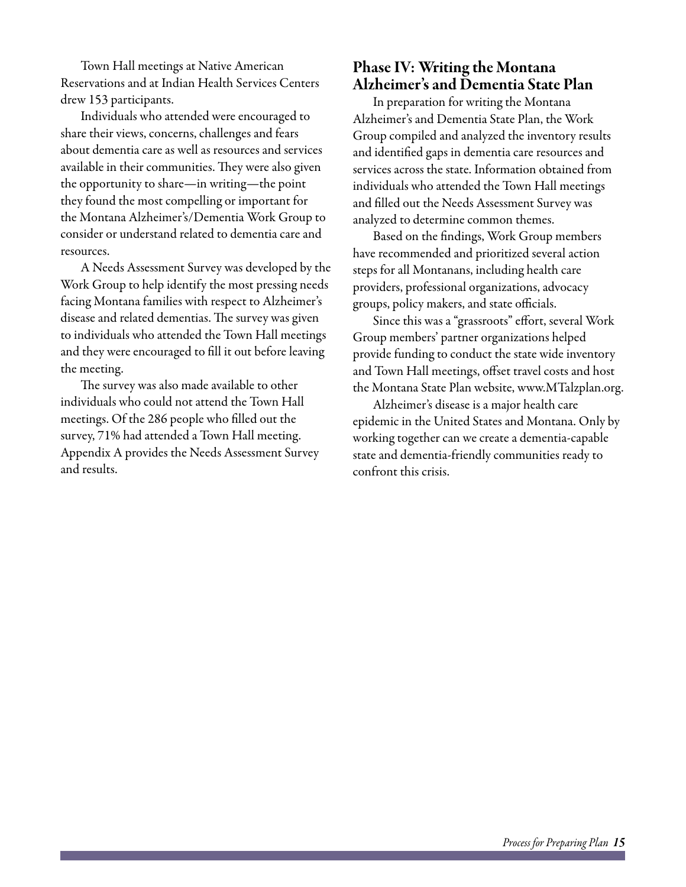Town Hall meetings at Native American Reservations and at Indian Health Services Centers drew 153 participants.

Individuals who attended were encouraged to share their views, concerns, challenges and fears about dementia care as well as resources and services available in their communities. They were also given the opportunity to share—in writing—the point they found the most compelling or important for the Montana Alzheimer's/Dementia Work Group to consider or understand related to dementia care and resources.

A Needs Assessment Survey was developed by the Work Group to help identify the most pressing needs facing Montana families with respect to Alzheimer's disease and related dementias. The survey was given to individuals who attended the Town Hall meetings and they were encouraged to fill it out before leaving the meeting.

The survey was also made available to other individuals who could not attend the Town Hall meetings. Of the 286 people who filled out the survey, 71% had attended a Town Hall meeting. Appendix A provides the Needs Assessment Survey and results.

## Phase IV: Writing the Montana Alzheimer's and Dementia State Plan

In preparation for writing the Montana Alzheimer's and Dementia State Plan, the Work Group compiled and analyzed the inventory results and identified gaps in dementia care resources and services across the state. Information obtained from individuals who attended the Town Hall meetings and filled out the Needs Assessment Survey was analyzed to determine common themes.

Based on the findings, Work Group members have recommended and prioritized several action steps for all Montanans, including health care providers, professional organizations, advocacy groups, policy makers, and state officials.

Since this was a "grassroots" effort, several Work Group members' partner organizations helped provide funding to conduct the state wide inventory and Town Hall meetings, offset travel costs and host the Montana State Plan website, www.MTalzplan.org.

Alzheimer's disease is a major health care epidemic in the United States and Montana. Only by working together can we create a dementia-capable state and dementia-friendly communities ready to confront this crisis.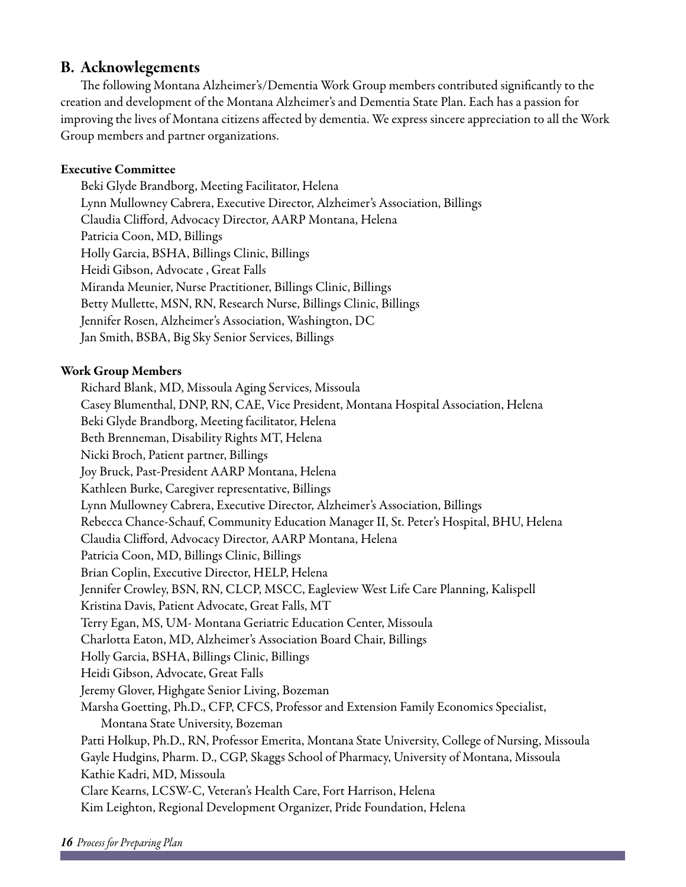#### B. Acknowlegements

The following Montana Alzheimer's/Dementia Work Group members contributed significantly to the creation and development of the Montana Alzheimer's and Dementia State Plan. Each has a passion for improving the lives of Montana citizens affected by dementia. We express sincere appreciation to all the Work Group members and partner organizations.

#### Executive Committee

Beki Glyde Brandborg, Meeting Facilitator, Helena Lynn Mullowney Cabrera, Executive Director, Alzheimer's Association, Billings Claudia Clifford, Advocacy Director, AARP Montana, Helena Patricia Coon, MD, Billings Holly Garcia, BSHA, Billings Clinic, Billings Heidi Gibson, Advocate , Great Falls Miranda Meunier, Nurse Practitioner, Billings Clinic, Billings Betty Mullette, MSN, RN, Research Nurse, Billings Clinic, Billings Jennifer Rosen, Alzheimer's Association, Washington, DC Jan Smith, BSBA, Big Sky Senior Services, Billings

#### Work Group Members

Richard Blank, MD, Missoula Aging Services, Missoula Casey Blumenthal, DNP, RN, CAE, Vice President, Montana Hospital Association, Helena Beki Glyde Brandborg, Meeting facilitator, Helena Beth Brenneman, Disability Rights MT, Helena Nicki Broch, Patient partner, Billings Joy Bruck, Past-President AARP Montana, Helena Kathleen Burke, Caregiver representative, Billings Lynn Mullowney Cabrera, Executive Director, Alzheimer's Association, Billings Rebecca Chance-Schauf, Community Education Manager II, St. Peter's Hospital, BHU, Helena Claudia Clifford, Advocacy Director, AARP Montana, Helena Patricia Coon, MD, Billings Clinic, Billings Brian Coplin, Executive Director, HELP, Helena Jennifer Crowley, BSN, RN, CLCP, MSCC, Eagleview West Life Care Planning, Kalispell Kristina Davis, Patient Advocate, Great Falls, MT Terry Egan, MS, UM- Montana Geriatric Education Center, Missoula Charlotta Eaton, MD, Alzheimer's Association Board Chair, Billings Holly Garcia, BSHA, Billings Clinic, Billings Heidi Gibson, Advocate, Great Falls Jeremy Glover, Highgate Senior Living, Bozeman Marsha Goetting, Ph.D., CFP, CFCS, Professor and Extension Family Economics Specialist, Montana State University, Bozeman Patti Holkup, Ph.D., RN, Professor Emerita, Montana State University, College of Nursing, Missoula Gayle Hudgins, Pharm. D., CGP, Skaggs School of Pharmacy, University of Montana, Missoula Kathie Kadri, MD, Missoula Clare Kearns, LCSW-C, Veteran's Health Care, Fort Harrison, Helena Kim Leighton, Regional Development Organizer, Pride Foundation, Helena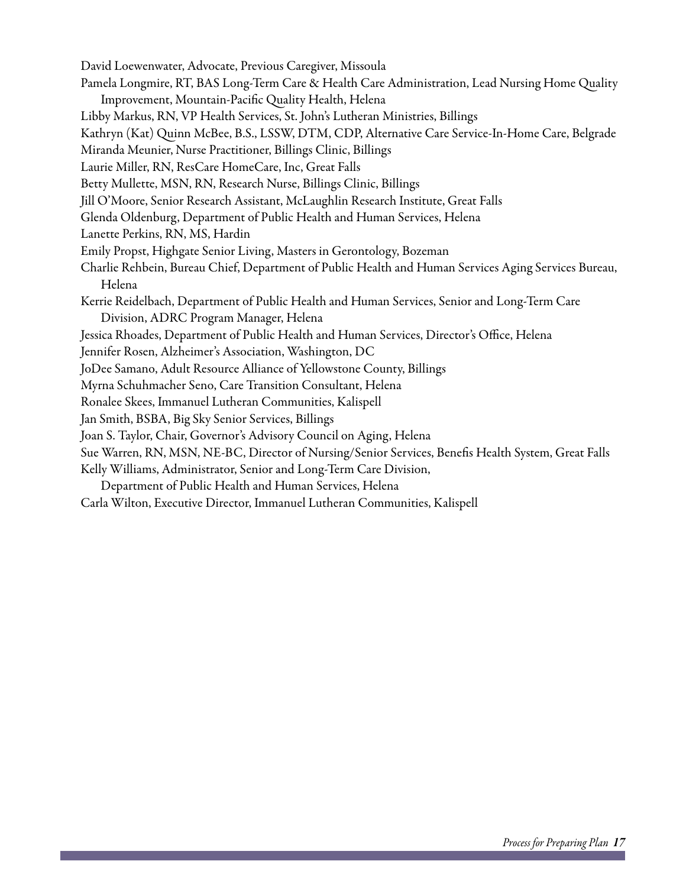David Loewenwater, Advocate, Previous Caregiver, Missoula Pamela Longmire, RT, BAS Long-Term Care & Health Care Administration, Lead Nursing Home Quality Improvement, Mountain-Pacific Quality Health, Helena Libby Markus, RN, VP Health Services, St. John's Lutheran Ministries, Billings Kathryn (Kat) Quinn McBee, B.S., LSSW, DTM, CDP, Alternative Care Service-In-Home Care, Belgrade Miranda Meunier, Nurse Practitioner, Billings Clinic, Billings Laurie Miller, RN, ResCare HomeCare, Inc, Great Falls Betty Mullette, MSN, RN, Research Nurse, Billings Clinic, Billings Jill O'Moore, Senior Research Assistant, McLaughlin Research Institute, Great Falls Glenda Oldenburg, Department of Public Health and Human Services, Helena Lanette Perkins, RN, MS, Hardin Emily Propst, Highgate Senior Living, Masters in Gerontology, Bozeman Charlie Rehbein, Bureau Chief, Department of Public Health and Human Services Aging Services Bureau, Helena Kerrie Reidelbach, Department of Public Health and Human Services, Senior and Long-Term Care Division, ADRC Program Manager, Helena Jessica Rhoades, Department of Public Health and Human Services, Director's Office, Helena Jennifer Rosen, Alzheimer's Association, Washington, DC JoDee Samano, Adult Resource Alliance of Yellowstone County, Billings Myrna Schuhmacher Seno, Care Transition Consultant, Helena Ronalee Skees, Immanuel Lutheran Communities, Kalispell Jan Smith, BSBA, Big Sky Senior Services, Billings Joan S. Taylor, Chair, Governor's Advisory Council on Aging, Helena Sue Warren, RN, MSN, NE-BC, Director of Nursing/Senior Services, Benefis Health System, Great Falls Kelly Williams, Administrator, Senior and Long-Term Care Division, Department of Public Health and Human Services, Helena Carla Wilton, Executive Director, Immanuel Lutheran Communities, Kalispell